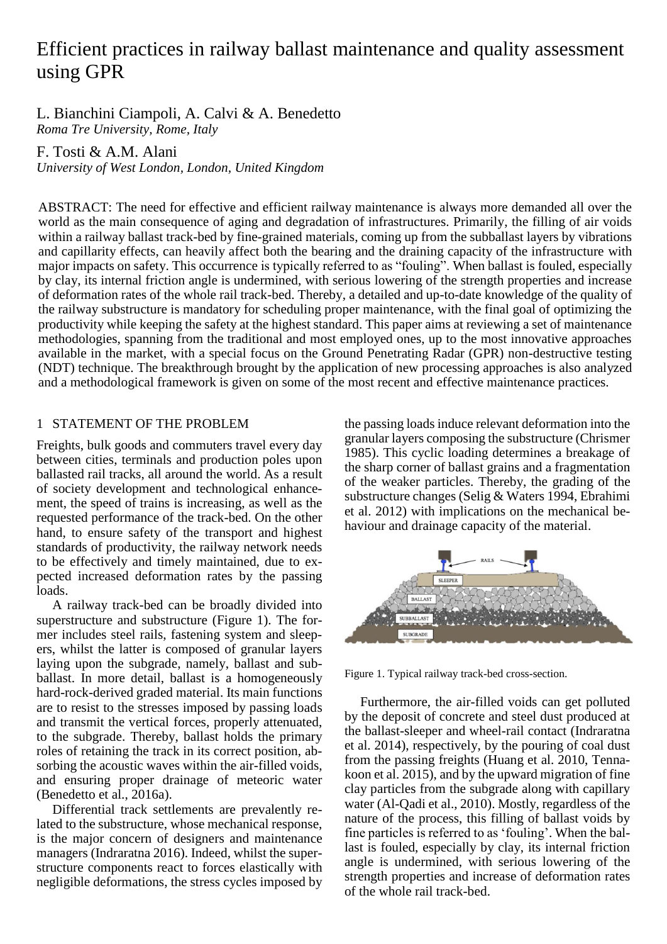# Efficient practices in railway ballast maintenance and quality assessment using GPR

L. Bianchini Ciampoli, A. Calvi & A. Benedetto *Roma Tre University, Rome, Italy*

F. Tosti & A.M. Alani

*University of West London, London, United Kingdom*

ABSTRACT: The need for effective and efficient railway maintenance is always more demanded all over the world as the main consequence of aging and degradation of infrastructures. Primarily, the filling of air voids within a railway ballast track-bed by fine-grained materials, coming up from the subballast layers by vibrations and capillarity effects, can heavily affect both the bearing and the draining capacity of the infrastructure with major impacts on safety. This occurrence is typically referred to as "fouling". When ballast is fouled, especially by clay, its internal friction angle is undermined, with serious lowering of the strength properties and increase of deformation rates of the whole rail track-bed. Thereby, a detailed and up-to-date knowledge of the quality of the railway substructure is mandatory for scheduling proper maintenance, with the final goal of optimizing the productivity while keeping the safety at the highest standard. This paper aims at reviewing a set of maintenance methodologies, spanning from the traditional and most employed ones, up to the most innovative approaches available in the market, with a special focus on the Ground Penetrating Radar (GPR) non-destructive testing (NDT) technique. The breakthrough brought by the application of new processing approaches is also analyzed and a methodological framework is given on some of the most recent and effective maintenance practices.

# 1 STATEMENT OF THE PROBLEM

Freights, bulk goods and commuters travel every day between cities, terminals and production poles upon ballasted rail tracks, all around the world. As a result of society development and technological enhancement, the speed of trains is increasing, as well as the requested performance of the track-bed. On the other hand, to ensure safety of the transport and highest standards of productivity, the railway network needs to be effectively and timely maintained, due to expected increased deformation rates by the passing loads.

A railway track-bed can be broadly divided into superstructure and substructure (Figure 1). The former includes steel rails, fastening system and sleepers, whilst the latter is composed of granular layers laying upon the subgrade, namely, ballast and subballast. In more detail, ballast is a homogeneously hard-rock-derived graded material. Its main functions are to resist to the stresses imposed by passing loads and transmit the vertical forces, properly attenuated, to the subgrade. Thereby, ballast holds the primary roles of retaining the track in its correct position, absorbing the acoustic waves within the air-filled voids, and ensuring proper drainage of meteoric water (Benedetto et al., 2016a).

Differential track settlements are prevalently related to the substructure, whose mechanical response, is the major concern of designers and maintenance managers (Indraratna 2016). Indeed, whilst the superstructure components react to forces elastically with negligible deformations, the stress cycles imposed by

the passing loads induce relevant deformation into the granular layers composing the substructure (Chrismer 1985). This cyclic loading determines a breakage of the sharp corner of ballast grains and a fragmentation of the weaker particles. Thereby, the grading of the substructure changes (Selig & Waters 1994, Ebrahimi et al. 2012) with implications on the mechanical behaviour and drainage capacity of the material.



Figure 1. Typical railway track-bed cross-section.

Furthermore, the air-filled voids can get polluted by the deposit of concrete and steel dust produced at the ballast-sleeper and wheel-rail contact (Indraratna et al. 2014), respectively, by the pouring of coal dust from the passing freights (Huang et al. 2010, Tennakoon et al. 2015), and by the upward migration of fine clay particles from the subgrade along with capillary water (Al-Qadi et al., 2010). Mostly, regardless of the nature of the process, this filling of ballast voids by fine particles is referred to as 'fouling'. When the ballast is fouled, especially by clay, its internal friction angle is undermined, with serious lowering of the strength properties and increase of deformation rates of the whole rail track-bed.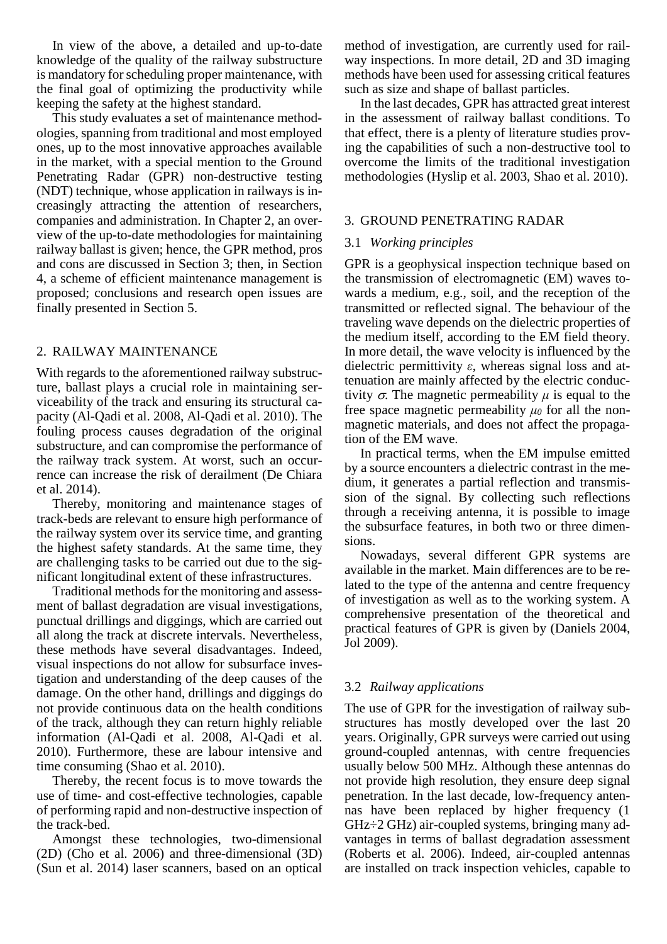In view of the above, a detailed and up-to-date knowledge of the quality of the railway substructure is mandatory for scheduling proper maintenance, with the final goal of optimizing the productivity while keeping the safety at the highest standard.

This study evaluates a set of maintenance methodologies, spanning from traditional and most employed ones, up to the most innovative approaches available in the market, with a special mention to the Ground Penetrating Radar (GPR) non-destructive testing (NDT) technique, whose application in railways is increasingly attracting the attention of researchers, companies and administration. In Chapter 2, an overview of the up-to-date methodologies for maintaining railway ballast is given; hence, the GPR method, pros and cons are discussed in Section 3; then, in Section 4, a scheme of efficient maintenance management is proposed; conclusions and research open issues are finally presented in Section 5.

# 2. RAILWAY MAINTENANCE

With regards to the aforementioned railway substructure, ballast plays a crucial role in maintaining serviceability of the track and ensuring its structural capacity (Al-Qadi et al. 2008, Al-Qadi et al. 2010). The fouling process causes degradation of the original substructure, and can compromise the performance of the railway track system. At worst, such an occurrence can increase the risk of derailment (De Chiara et al. 2014).

Thereby, monitoring and maintenance stages of track-beds are relevant to ensure high performance of the railway system over its service time, and granting the highest safety standards. At the same time, they are challenging tasks to be carried out due to the significant longitudinal extent of these infrastructures.

Traditional methods for the monitoring and assessment of ballast degradation are visual investigations, punctual drillings and diggings, which are carried out all along the track at discrete intervals. Nevertheless, these methods have several disadvantages. Indeed, visual inspections do not allow for subsurface investigation and understanding of the deep causes of the damage. On the other hand, drillings and diggings do not provide continuous data on the health conditions of the track, although they can return highly reliable information (Al-Qadi et al. 2008, Al-Qadi et al. 2010). Furthermore, these are labour intensive and time consuming (Shao et al. 2010).

Thereby, the recent focus is to move towards the use of time- and cost-effective technologies, capable of performing rapid and non-destructive inspection of the track-bed.

Amongst these technologies, two-dimensional (2D) (Cho et al. 2006) and three-dimensional (3D) (Sun et al. 2014) laser scanners, based on an optical

method of investigation, are currently used for railway inspections. In more detail, 2D and 3D imaging methods have been used for assessing critical features such as size and shape of ballast particles.

In the last decades, GPR has attracted great interest in the assessment of railway ballast conditions. To that effect, there is a plenty of literature studies proving the capabilities of such a non-destructive tool to overcome the limits of the traditional investigation methodologies (Hyslip et al. 2003, Shao et al. 2010).

#### 3. GROUND PENETRATING RADAR

## 3.1 *Working principles*

GPR is a geophysical inspection technique based on the transmission of electromagnetic (EM) waves towards a medium, e.g., soil, and the reception of the transmitted or reflected signal. The behaviour of the traveling wave depends on the dielectric properties of the medium itself, according to the EM field theory. In more detail, the wave velocity is influenced by the dielectric permittivity *ε*, whereas signal loss and attenuation are mainly affected by the electric conductivity  $\sigma$ . The magnetic permeability  $\mu$  is equal to the free space magnetic permeability *μ<sup>0</sup>* for all the nonmagnetic materials, and does not affect the propagation of the EM wave.

In practical terms, when the EM impulse emitted by a source encounters a dielectric contrast in the medium, it generates a partial reflection and transmission of the signal. By collecting such reflections through a receiving antenna, it is possible to image the subsurface features, in both two or three dimensions.

Nowadays, several different GPR systems are available in the market. Main differences are to be related to the type of the antenna and centre frequency of investigation as well as to the working system. A comprehensive presentation of the theoretical and practical features of GPR is given by (Daniels 2004, Jol 2009).

## 3.2 *Railway applications*

The use of GPR for the investigation of railway substructures has mostly developed over the last 20 years. Originally, GPR surveys were carried out using ground-coupled antennas, with centre frequencies usually below 500 MHz. Although these antennas do not provide high resolution, they ensure deep signal penetration. In the last decade, low-frequency antennas have been replaced by higher frequency (1 GHz÷2 GHz) air-coupled systems, bringing many advantages in terms of ballast degradation assessment (Roberts et al. 2006). Indeed, air-coupled antennas are installed on track inspection vehicles, capable to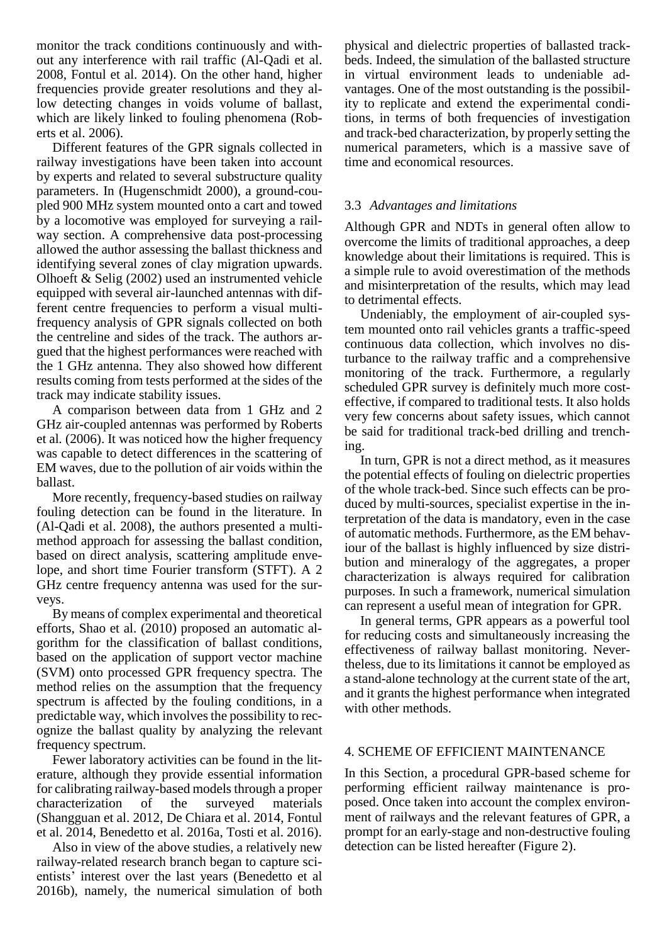monitor the track conditions continuously and without any interference with rail traffic (Al-Qadi et al. 2008, Fontul et al. 2014). On the other hand, higher frequencies provide greater resolutions and they allow detecting changes in voids volume of ballast, which are likely linked to fouling phenomena (Roberts et al. 2006).

Different features of the GPR signals collected in railway investigations have been taken into account by experts and related to several substructure quality parameters. In (Hugenschmidt 2000), a ground-coupled 900 MHz system mounted onto a cart and towed by a locomotive was employed for surveying a railway section. A comprehensive data post-processing allowed the author assessing the ballast thickness and identifying several zones of clay migration upwards. Olhoeft & Selig (2002) used an instrumented vehicle equipped with several air-launched antennas with different centre frequencies to perform a visual multifrequency analysis of GPR signals collected on both the centreline and sides of the track. The authors argued that the highest performances were reached with the 1 GHz antenna. They also showed how different results coming from tests performed at the sides of the track may indicate stability issues.

A comparison between data from 1 GHz and 2 GHz air-coupled antennas was performed by Roberts et al*.* (2006). It was noticed how the higher frequency was capable to detect differences in the scattering of EM waves, due to the pollution of air voids within the ballast.

More recently, frequency-based studies on railway fouling detection can be found in the literature. In (Al-Qadi et al. 2008), the authors presented a multimethod approach for assessing the ballast condition, based on direct analysis, scattering amplitude envelope, and short time Fourier transform (STFT). A 2 GHz centre frequency antenna was used for the surveys.

By means of complex experimental and theoretical efforts, Shao et al. (2010) proposed an automatic algorithm for the classification of ballast conditions, based on the application of support vector machine (SVM) onto processed GPR frequency spectra. The method relies on the assumption that the frequency spectrum is affected by the fouling conditions, in a predictable way, which involves the possibility to recognize the ballast quality by analyzing the relevant frequency spectrum.

Fewer laboratory activities can be found in the literature, although they provide essential information for calibrating railway-based models through a proper characterization of the surveyed materials (Shangguan et al. 2012, De Chiara et al. 2014, Fontul et al. 2014, Benedetto et al. 2016a, Tosti et al. 2016).

Also in view of the above studies, a relatively new railway-related research branch began to capture scientists' interest over the last years (Benedetto et al 2016b), namely, the numerical simulation of both

physical and dielectric properties of ballasted trackbeds. Indeed, the simulation of the ballasted structure in virtual environment leads to undeniable advantages. One of the most outstanding is the possibility to replicate and extend the experimental conditions, in terms of both frequencies of investigation and track-bed characterization, by properly setting the numerical parameters, which is a massive save of time and economical resources.

# 3.3 *Advantages and limitations*

Although GPR and NDTs in general often allow to overcome the limits of traditional approaches, a deep knowledge about their limitations is required. This is a simple rule to avoid overestimation of the methods and misinterpretation of the results, which may lead to detrimental effects.

Undeniably, the employment of air-coupled system mounted onto rail vehicles grants a traffic-speed continuous data collection, which involves no disturbance to the railway traffic and a comprehensive monitoring of the track. Furthermore, a regularly scheduled GPR survey is definitely much more costeffective, if compared to traditional tests. It also holds very few concerns about safety issues, which cannot be said for traditional track-bed drilling and trenching.

In turn, GPR is not a direct method, as it measures the potential effects of fouling on dielectric properties of the whole track-bed. Since such effects can be produced by multi-sources, specialist expertise in the interpretation of the data is mandatory, even in the case of automatic methods. Furthermore, asthe EM behaviour of the ballast is highly influenced by size distribution and mineralogy of the aggregates, a proper characterization is always required for calibration purposes. In such a framework, numerical simulation can represent a useful mean of integration for GPR.

In general terms, GPR appears as a powerful tool for reducing costs and simultaneously increasing the effectiveness of railway ballast monitoring. Nevertheless, due to its limitations it cannot be employed as a stand-alone technology at the current state of the art, and it grants the highest performance when integrated with other methods.

# 4. SCHEME OF EFFICIENT MAINTENANCE

In this Section, a procedural GPR-based scheme for performing efficient railway maintenance is proposed. Once taken into account the complex environment of railways and the relevant features of GPR, a prompt for an early-stage and non-destructive fouling detection can be listed hereafter (Figure 2).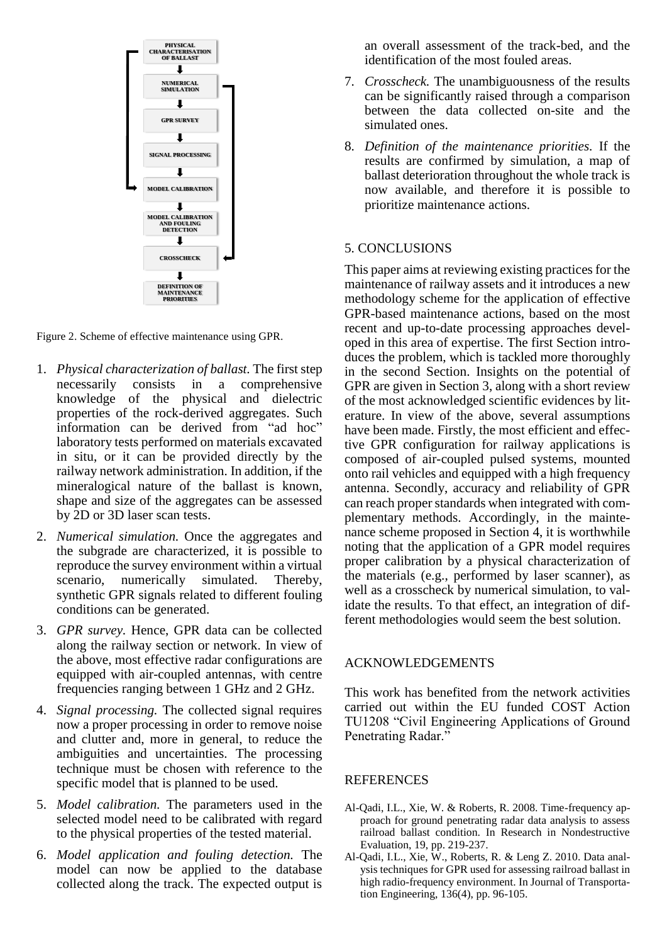

Figure 2. Scheme of effective maintenance using GPR.

- 1. *Physical characterization of ballast.* The first step necessarily consists in a comprehensive knowledge of the physical and dielectric properties of the rock-derived aggregates. Such information can be derived from "ad hoc" laboratory tests performed on materials excavated in situ, or it can be provided directly by the railway network administration. In addition, if the mineralogical nature of the ballast is known, shape and size of the aggregates can be assessed by 2D or 3D laser scan tests.
- 2. *Numerical simulation.* Once the aggregates and the subgrade are characterized, it is possible to reproduce the survey environment within a virtual scenario, numerically simulated. Thereby, synthetic GPR signals related to different fouling conditions can be generated.
- 3. *GPR survey.* Hence, GPR data can be collected along the railway section or network. In view of the above, most effective radar configurations are equipped with air-coupled antennas, with centre frequencies ranging between 1 GHz and 2 GHz.
- 4. *Signal processing.* The collected signal requires now a proper processing in order to remove noise and clutter and, more in general, to reduce the ambiguities and uncertainties. The processing technique must be chosen with reference to the specific model that is planned to be used.
- 5. *Model calibration.* The parameters used in the selected model need to be calibrated with regard to the physical properties of the tested material.
- 6. *Model application and fouling detection.* The model can now be applied to the database collected along the track. The expected output is

an overall assessment of the track-bed, and the identification of the most fouled areas.

- 7. *Crosscheck.* The unambiguousness of the results can be significantly raised through a comparison between the data collected on-site and the simulated ones.
- 8. *Definition of the maintenance priorities.* If the results are confirmed by simulation, a map of ballast deterioration throughout the whole track is now available, and therefore it is possible to prioritize maintenance actions.

## 5. CONCLUSIONS

This paper aims at reviewing existing practices for the maintenance of railway assets and it introduces a new methodology scheme for the application of effective GPR-based maintenance actions, based on the most recent and up-to-date processing approaches developed in this area of expertise. The first Section introduces the problem, which is tackled more thoroughly in the second Section. Insights on the potential of GPR are given in Section 3, along with a short review of the most acknowledged scientific evidences by literature. In view of the above, several assumptions have been made. Firstly, the most efficient and effective GPR configuration for railway applications is composed of air-coupled pulsed systems, mounted onto rail vehicles and equipped with a high frequency antenna. Secondly, accuracy and reliability of GPR can reach proper standards when integrated with complementary methods. Accordingly, in the maintenance scheme proposed in Section 4, it is worthwhile noting that the application of a GPR model requires proper calibration by a physical characterization of the materials (e.g., performed by laser scanner), as well as a crosscheck by numerical simulation, to validate the results. To that effect, an integration of different methodologies would seem the best solution.

#### ACKNOWLEDGEMENTS

This work has benefited from the network activities carried out within the EU funded COST Action TU1208 "Civil Engineering Applications of Ground Penetrating Radar.'

#### **REFERENCES**

- Al-Qadi, I.L., Xie, W. & Roberts, R. 2008. Time-frequency approach for ground penetrating radar data analysis to assess railroad ballast condition. In Research in Nondestructive Evaluation, 19, pp. 219-237.
- Al-Qadi, I.L., Xie, W., Roberts, R. & Leng Z. 2010. Data analysis techniques for GPR used for assessing railroad ballast in high radio-frequency environment. In Journal of Transportation Engineering, 136(4), pp. 96-105.